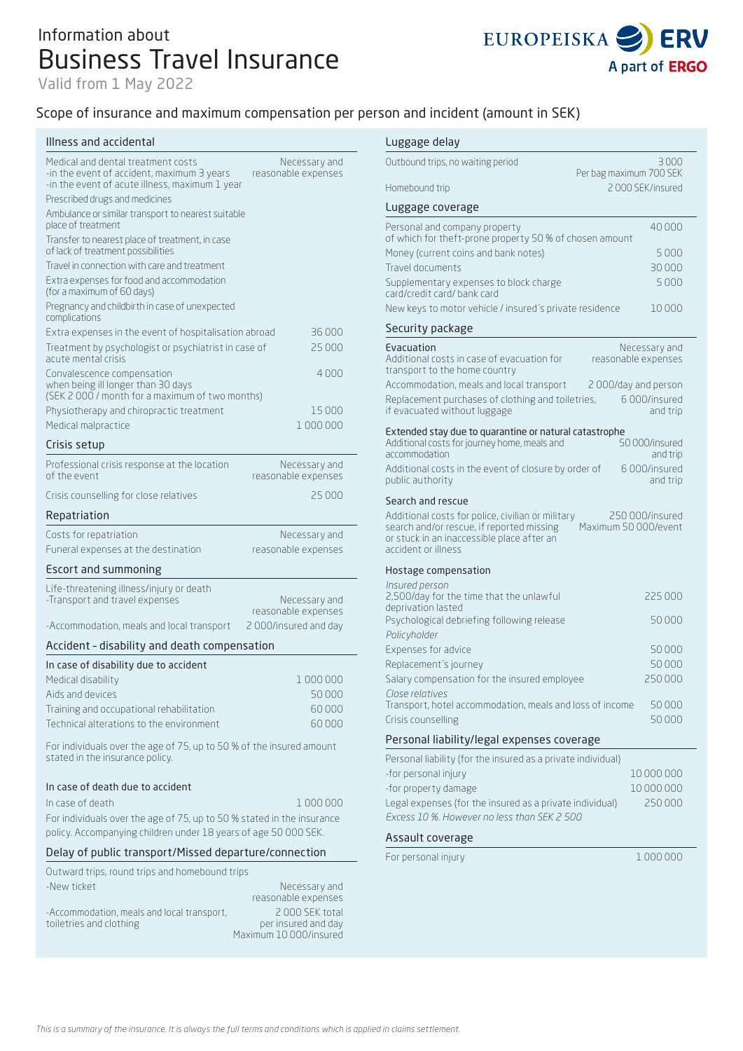# Information about Business Travel Insurance

Valid from 1 May 2022



### Scope of insurance and maximum compensation per per

#### Illness and accidental

| Medical and dental treatment costs<br>-in the event of accident, maximum 3 years<br>-in the event of acute illness, maximum 1 year | Necessary and<br>reasonable expenses |
|------------------------------------------------------------------------------------------------------------------------------------|--------------------------------------|
| Prescribed drugs and medicines                                                                                                     |                                      |
| Ambulance or similar transport to nearest suitable<br>place of treatment                                                           |                                      |
| Transfer to nearest place of treatment, in case<br>of lack of treatment possibilities                                              |                                      |
| Travel in connection with care and treatment                                                                                       |                                      |
| Extra expenses for food and accommodation<br>(for a maximum of 60 days)                                                            |                                      |
| Pregnancy and childbirth in case of unexpected<br>complications                                                                    |                                      |
| Extra expenses in the event of hospitalisation abroad                                                                              | 36 000                               |
| Treatment by psychologist or psychiatrist in case of<br>acute mental crisis                                                        | 25 000                               |
| Convalescence compensation<br>when being ill longer than 30 days<br>(SEK 2 000 / month for a maximum of two months)                | 4000                                 |
| Physiotherapy and chiropractic treatment                                                                                           | 15 000                               |
| Medical malpractice                                                                                                                | 1 000 000                            |
| Crisis setup                                                                                                                       |                                      |
| Professional crisis response at the location<br>of the event                                                                       | Necessary and<br>reasonable expenses |
| Crisis counselling for close relatives                                                                                             | 25 000                               |
| Repatriation                                                                                                                       |                                      |
| Costs for repatriation                                                                                                             | Necessary and                        |
| Funeral expenses at the destination                                                                                                | reasonable expenses                  |
| Escort and summoning                                                                                                               |                                      |
| Life-threatening illness/injury or death<br>-Transport and travel expenses                                                         | Necessary and<br>reasonable expenses |
| -Accommodation, meals and local transport                                                                                          | 2000/insured and day                 |
| Accident - disability and death compensation                                                                                       |                                      |
| In case of disability due to accident                                                                                              |                                      |
| Medical disability                                                                                                                 | 1000000                              |
| Aids and devices                                                                                                                   | 50000                                |
| Training and occupational rehabilitation                                                                                           | 60000                                |
| Technical alterations to the environment                                                                                           | 60000                                |
| For individuals over the age of 75, up to 50 % of the insured amount<br>stated in the insurance policy.                            |                                      |
| In case of death due to accident                                                                                                   |                                      |

#### In case of death 1 000 000

For individuals over the age of 75, up to 50 % stated in the insurance policy. Accompanying children under 18 years of age 50 000 SEK.

### Delay of public transport/Missed departure/connection

| Outward trips, round trips and homebound trips                        |                                                                 |
|-----------------------------------------------------------------------|-----------------------------------------------------------------|
| -New ticket                                                           | Necessary and<br>reasonable expenses                            |
| -Accommodation, meals and local transport,<br>toiletries and clothing | 2000 SEK total<br>per insured and day<br>Maximum 10 000/insured |

| son and incident (amount in SEK)                                                                                                                                    |                         |                                      |
|---------------------------------------------------------------------------------------------------------------------------------------------------------------------|-------------------------|--------------------------------------|
| Luggage delay                                                                                                                                                       |                         |                                      |
| Outbound trips, no waiting period                                                                                                                                   |                         | 3000                                 |
| Homebound trip                                                                                                                                                      | Per bag maximum 700 SEK | 2000 SEK/insured                     |
| Luggage coverage                                                                                                                                                    |                         |                                      |
|                                                                                                                                                                     |                         | 40000                                |
| Personal and company property<br>of which for theft-prone property 50 % of chosen amount                                                                            |                         |                                      |
| Money (current coins and bank notes)                                                                                                                                |                         | 5 000                                |
| Travel documents                                                                                                                                                    |                         | 30000                                |
| Supplementary expenses to block charge<br>card/credit card/ bank card                                                                                               |                         | 5000                                 |
| New keys to motor vehicle / insured's private residence                                                                                                             |                         | 10000                                |
| Security package                                                                                                                                                    |                         |                                      |
| Evacuation<br>Additional costs in case of evacuation for<br>transport to the home country                                                                           |                         | Necessary and<br>reasonable expenses |
| Accommodation, meals and local transport                                                                                                                            | 2000/day and person     |                                      |
| Replacement purchases of clothing and toiletries,<br>if evacuated without luggage                                                                                   |                         | 6000/insured<br>and trip             |
| Extended stay due to quarantine or natural catastrophe<br>Additional costs for journey home, meals and<br>accommodation                                             |                         | 50000/insured<br>and trip            |
| Additional costs in the event of closure by order of<br>public authority                                                                                            |                         | 6000/insured<br>and trip             |
| Search and rescue                                                                                                                                                   |                         |                                      |
| Additional costs for police, civilian or military<br>search and/or rescue, if reported missing<br>or stuck in an inaccessible place after an<br>accident or illness | Maximum 50 000/event    | 250 000/insured                      |
| Hostage compensation                                                                                                                                                |                         |                                      |
| Insured person<br>2,500/day for the time that the unlawful<br>deprivation lasted                                                                                    |                         | 225 000                              |
| Psychological debriefing following release<br>Policyholder                                                                                                          |                         | 50000                                |
| Expenses for advice                                                                                                                                                 |                         | 50000                                |
| Replacement's journey                                                                                                                                               |                         | 50000                                |
| Salary compensation for the insured employee                                                                                                                        |                         | 250000                               |
| Close relatives<br>Transport, hotel accommodation, meals and loss of income                                                                                         |                         | 50000                                |
| Crisis counselling                                                                                                                                                  |                         | 50000                                |
| Personal liability/legal expenses coverage                                                                                                                          |                         |                                      |
| Personal liability (for the insured as a private individual)                                                                                                        |                         |                                      |
| -for personal injury                                                                                                                                                |                         | 10 000 000                           |
| -for property damage                                                                                                                                                |                         | 10 000 000                           |
| Legal expenses (for the insured as a private individual)                                                                                                            |                         | 250000                               |
| Excess 10 %. However no less than SEK 2 500                                                                                                                         |                         |                                      |
| Assault coverage                                                                                                                                                    |                         |                                      |
| For personal injury                                                                                                                                                 |                         | 1000000                              |